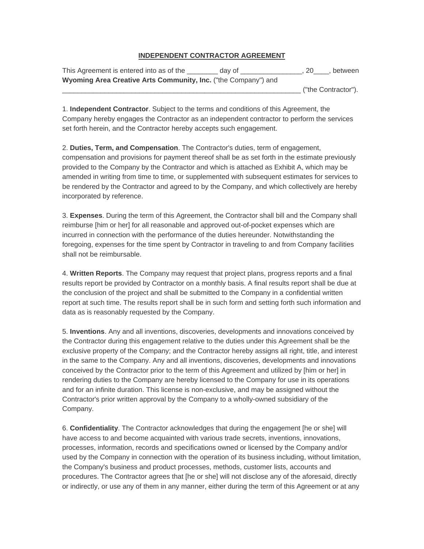## **INDEPENDENT CONTRACTOR AGREEMENT**

| This Agreement is entered into as of the                       | dav of | . between           |  |  |  |
|----------------------------------------------------------------|--------|---------------------|--|--|--|
| Wyoming Area Creative Arts Community, Inc. ("the Company") and |        |                     |  |  |  |
|                                                                |        | ("the Contractor"). |  |  |  |

1. **Independent Contractor**. Subject to the terms and conditions of this Agreement, the Company hereby engages the Contractor as an independent contractor to perform the services set forth herein, and the Contractor hereby accepts such engagement.

2. **Duties, Term, and Compensation**. The Contractor's duties, term of engagement, compensation and provisions for payment thereof shall be as set forth in the estimate previously provided to the Company by the Contractor and which is attached as Exhibit A, which may be amended in writing from time to time, or supplemented with subsequent estimates for services to be rendered by the Contractor and agreed to by the Company, and which collectively are hereby incorporated by reference.

3. **Expenses**. During the term of this Agreement, the Contractor shall bill and the Company shall reimburse [him or her] for all reasonable and approved out-of-pocket expenses which are incurred in connection with the performance of the duties hereunder. Notwithstanding the foregoing, expenses for the time spent by Contractor in traveling to and from Company facilities shall not be reimbursable.

4. **Written Reports**. The Company may request that project plans, progress reports and a final results report be provided by Contractor on a monthly basis. A final results report shall be due at the conclusion of the project and shall be submitted to the Company in a confidential written report at such time. The results report shall be in such form and setting forth such information and data as is reasonably requested by the Company.

5. **Inventions**. Any and all inventions, discoveries, developments and innovations conceived by the Contractor during this engagement relative to the duties under this Agreement shall be the exclusive property of the Company; and the Contractor hereby assigns all right, title, and interest in the same to the Company. Any and all inventions, discoveries, developments and innovations conceived by the Contractor prior to the term of this Agreement and utilized by [him or her] in rendering duties to the Company are hereby licensed to the Company for use in its operations and for an infinite duration. This license is non-exclusive, and may be assigned without the Contractor's prior written approval by the Company to a wholly-owned subsidiary of the Company.

6. **Confidentiality**. The Contractor acknowledges that during the engagement [he or she] will have access to and become acquainted with various trade secrets, inventions, innovations, processes, information, records and specifications owned or licensed by the Company and/or used by the Company in connection with the operation of its business including, without limitation, the Company's business and product processes, methods, customer lists, accounts and procedures. The Contractor agrees that [he or she] will not disclose any of the aforesaid, directly or indirectly, or use any of them in any manner, either during the term of this Agreement or at any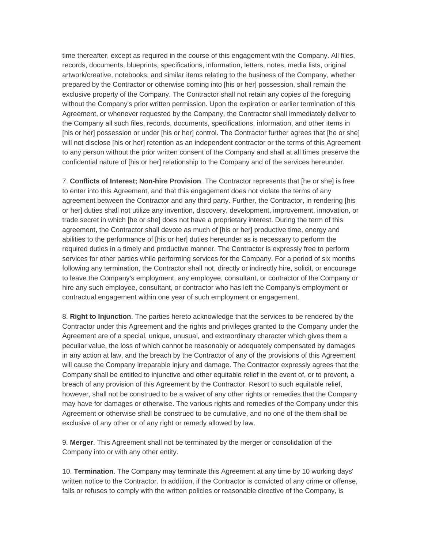time thereafter, except as required in the course of this engagement with the Company. All files, records, documents, blueprints, specifications, information, letters, notes, media lists, original artwork/creative, notebooks, and similar items relating to the business of the Company, whether prepared by the Contractor or otherwise coming into [his or her] possession, shall remain the exclusive property of the Company. The Contractor shall not retain any copies of the foregoing without the Company's prior written permission. Upon the expiration or earlier termination of this Agreement, or whenever requested by the Company, the Contractor shall immediately deliver to the Company all such files, records, documents, specifications, information, and other items in [his or her] possession or under [his or her] control. The Contractor further agrees that [he or she] will not disclose [his or her] retention as an independent contractor or the terms of this Agreement to any person without the prior written consent of the Company and shall at all times preserve the confidential nature of [his or her] relationship to the Company and of the services hereunder.

7. **Conflicts of Interest; Non-hire Provision**. The Contractor represents that [he or she] is free to enter into this Agreement, and that this engagement does not violate the terms of any agreement between the Contractor and any third party. Further, the Contractor, in rendering [his or her] duties shall not utilize any invention, discovery, development, improvement, innovation, or trade secret in which [he or she] does not have a proprietary interest. During the term of this agreement, the Contractor shall devote as much of [his or her] productive time, energy and abilities to the performance of [his or her] duties hereunder as is necessary to perform the required duties in a timely and productive manner. The Contractor is expressly free to perform services for other parties while performing services for the Company. For a period of six months following any termination, the Contractor shall not, directly or indirectly hire, solicit, or encourage to leave the Company's employment, any employee, consultant, or contractor of the Company or hire any such employee, consultant, or contractor who has left the Company's employment or contractual engagement within one year of such employment or engagement.

8. **Right to Injunction**. The parties hereto acknowledge that the services to be rendered by the Contractor under this Agreement and the rights and privileges granted to the Company under the Agreement are of a special, unique, unusual, and extraordinary character which gives them a peculiar value, the loss of which cannot be reasonably or adequately compensated by damages in any action at law, and the breach by the Contractor of any of the provisions of this Agreement will cause the Company irreparable injury and damage. The Contractor expressly agrees that the Company shall be entitled to injunctive and other equitable relief in the event of, or to prevent, a breach of any provision of this Agreement by the Contractor. Resort to such equitable relief, however, shall not be construed to be a waiver of any other rights or remedies that the Company may have for damages or otherwise. The various rights and remedies of the Company under this Agreement or otherwise shall be construed to be cumulative, and no one of the them shall be exclusive of any other or of any right or remedy allowed by law.

9. **Merger**. This Agreement shall not be terminated by the merger or consolidation of the Company into or with any other entity.

10. **Termination**. The Company may terminate this Agreement at any time by 10 working days' written notice to the Contractor. In addition, if the Contractor is convicted of any crime or offense, fails or refuses to comply with the written policies or reasonable directive of the Company, is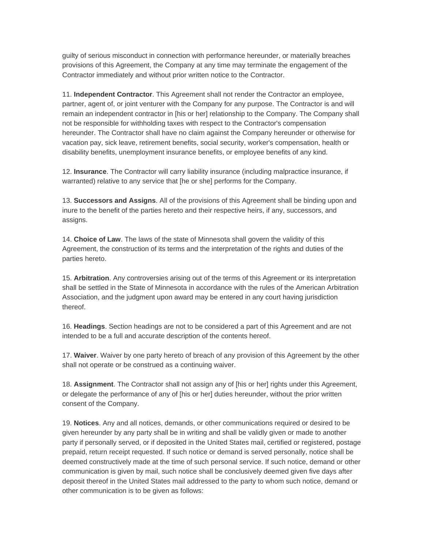guilty of serious misconduct in connection with performance hereunder, or materially breaches provisions of this Agreement, the Company at any time may terminate the engagement of the Contractor immediately and without prior written notice to the Contractor.

11. **Independent Contractor**. This Agreement shall not render the Contractor an employee, partner, agent of, or joint venturer with the Company for any purpose. The Contractor is and will remain an independent contractor in [his or her] relationship to the Company. The Company shall not be responsible for withholding taxes with respect to the Contractor's compensation hereunder. The Contractor shall have no claim against the Company hereunder or otherwise for vacation pay, sick leave, retirement benefits, social security, worker's compensation, health or disability benefits, unemployment insurance benefits, or employee benefits of any kind.

12. **Insurance**. The Contractor will carry liability insurance (including malpractice insurance, if warranted) relative to any service that [he or she] performs for the Company.

13. **Successors and Assigns**. All of the provisions of this Agreement shall be binding upon and inure to the benefit of the parties hereto and their respective heirs, if any, successors, and assigns.

14. **Choice of Law**. The laws of the state of Minnesota shall govern the validity of this Agreement, the construction of its terms and the interpretation of the rights and duties of the parties hereto.

15. **Arbitration**. Any controversies arising out of the terms of this Agreement or its interpretation shall be settled in the State of Minnesota in accordance with the rules of the American Arbitration Association, and the judgment upon award may be entered in any court having jurisdiction thereof.

16. **Headings**. Section headings are not to be considered a part of this Agreement and are not intended to be a full and accurate description of the contents hereof.

17. **Waiver**. Waiver by one party hereto of breach of any provision of this Agreement by the other shall not operate or be construed as a continuing waiver.

18. **Assignment**. The Contractor shall not assign any of [his or her] rights under this Agreement, or delegate the performance of any of [his or her] duties hereunder, without the prior written consent of the Company.

19. **Notices**. Any and all notices, demands, or other communications required or desired to be given hereunder by any party shall be in writing and shall be validly given or made to another party if personally served, or if deposited in the United States mail, certified or registered, postage prepaid, return receipt requested. If such notice or demand is served personally, notice shall be deemed constructively made at the time of such personal service. If such notice, demand or other communication is given by mail, such notice shall be conclusively deemed given five days after deposit thereof in the United States mail addressed to the party to whom such notice, demand or other communication is to be given as follows: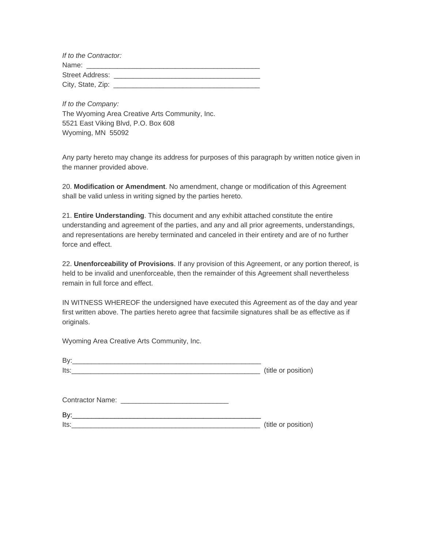| If to the Contractor: |  |
|-----------------------|--|
| Name:                 |  |
| Street Address:       |  |
| City, State, Zip:     |  |

*If to the Company:* The Wyoming Area Creative Arts Community, Inc. 5521 East Viking Blvd, P.O. Box 608 Wyoming, MN 55092

Any party hereto may change its address for purposes of this paragraph by written notice given in the manner provided above.

20. **Modification or Amendment**. No amendment, change or modification of this Agreement shall be valid unless in writing signed by the parties hereto.

21. **Entire Understanding**. This document and any exhibit attached constitute the entire understanding and agreement of the parties, and any and all prior agreements, understandings, and representations are hereby terminated and canceled in their entirety and are of no further force and effect.

22. **Unenforceability of Provisions**. If any provision of this Agreement, or any portion thereof, is held to be invalid and unenforceable, then the remainder of this Agreement shall nevertheless remain in full force and effect.

IN WITNESS WHEREOF the undersigned have executed this Agreement as of the day and year first written above. The parties hereto agree that facsimile signatures shall be as effective as if originals.

Wyoming Area Creative Arts Community, Inc.

| R١<br>◡  |  |
|----------|--|
| Ħ<br>75ء |  |

| <b>Contractor Name:</b> |  |                     |
|-------------------------|--|---------------------|
| Bv:                     |  |                     |
| Its:                    |  | (title or position) |